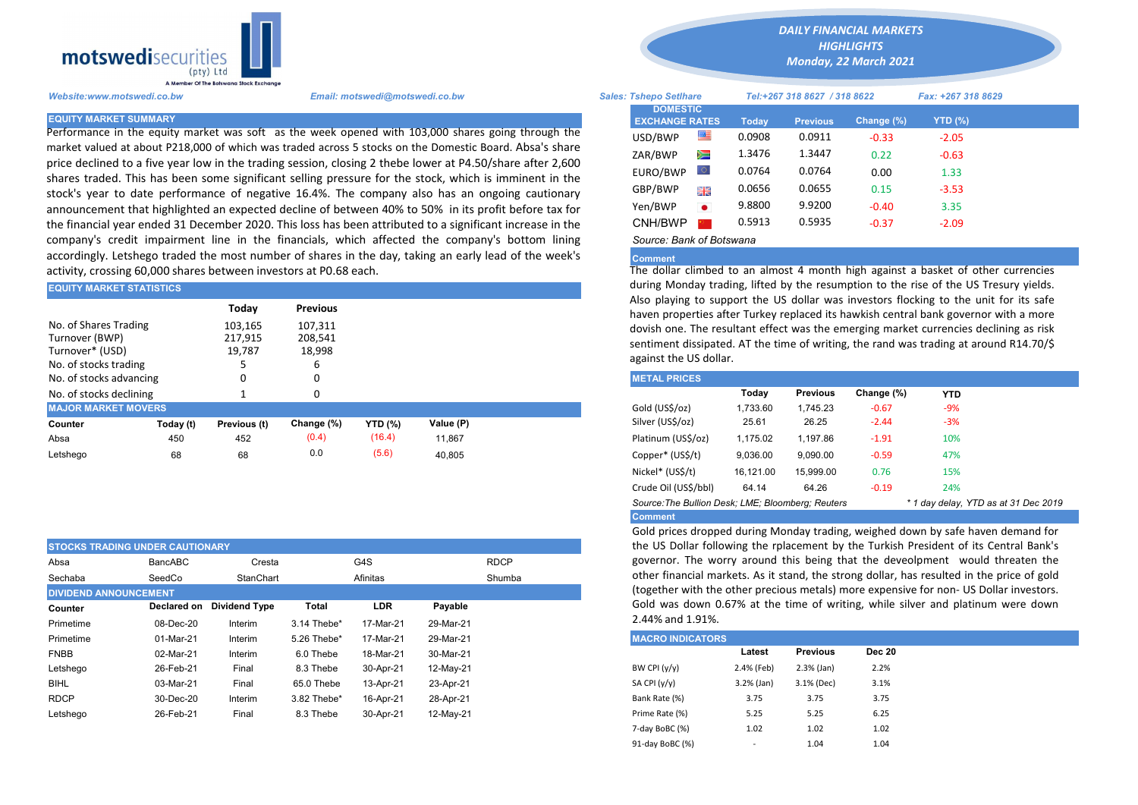

Performance in the equity market was soft as the week opened with 103,000 shares going through the market valued at about P218,000 of which was traded across 5 stocks on the Domestic Board. Absa's share price declined to a five year low in the trading session, closing 2 thebe lower at P4.50/share after 2,600 shares traded. This has been some significant selling pressure for the stock, which is imminent in the stock's year to date performance of negative 16.4%. The company also has an ongoing cautionary announcement that highlighted an expected decline of between 40% to 50% in its profit before tax for the financial year ended 31 December 2020. This loss has been attributed to a significant increase in the company's credit impairment line in the financials, which affected the company's bottom lining accordingly. Letshego traded the most number of shares in the day, taking an early lead of the week's activity, crossing 60,000 shares between investors at P0.68 each.

| <b>EQUITY MARKET STATISTICS</b>                                                     |           |                              |                                   | auring Monday trading, lifted by the resumption to the rise of the US TI |           |  |                                                                                                                                                                                 |          |          |            |            |  |  |  |
|-------------------------------------------------------------------------------------|-----------|------------------------------|-----------------------------------|--------------------------------------------------------------------------|-----------|--|---------------------------------------------------------------------------------------------------------------------------------------------------------------------------------|----------|----------|------------|------------|--|--|--|
|                                                                                     |           | Today                        | <b>Previous</b>                   |                                                                          |           |  | Also playing to support the US dollar was investors flocking to the uni<br>haven properties after Turkey replaced its hawkish central bank governor                             |          |          |            |            |  |  |  |
| No. of Shares Trading<br>Turnover (BWP)<br>Turnover* (USD)<br>No. of stocks trading |           | 103,165<br>217,915<br>19.787 | 107,311<br>208,541<br>18,998<br>ь |                                                                          |           |  | dovish one. The resultant effect was the emerging market currencies dee<br>sentiment dissipated. AT the time of writing, the rand was trading at arou<br>against the US dollar. |          |          |            |            |  |  |  |
| No. of stocks advancing                                                             |           |                              |                                   |                                                                          |           |  | <b>METAL PRICES</b>                                                                                                                                                             |          |          |            |            |  |  |  |
| No. of stocks declining                                                             |           |                              |                                   |                                                                          |           |  |                                                                                                                                                                                 | Today    | Previous | Change (%) | <b>YTD</b> |  |  |  |
| <b>MAJOR MARKET MOVERS</b>                                                          |           |                              |                                   |                                                                          |           |  | Gold (US\$/oz)                                                                                                                                                                  | 1,733.60 | 1.745.23 | $-0.67$    | $-9%$      |  |  |  |
| Counter                                                                             | Today (t) | Previous (t)                 | Change (%)                        | <b>YTD</b> (%)                                                           | Value (P) |  | Silver (US\$/oz)                                                                                                                                                                | 25.61    | 26.25    | $-2.44$    | $-3%$      |  |  |  |
| Absa                                                                                | 450       | 452                          | (0.4)                             | (16.4)                                                                   | 11.867    |  | Platinum (US\$/oz)                                                                                                                                                              | 1.175.02 | 1.197.86 | $-1.91$    | 10%        |  |  |  |
| Letshego                                                                            | 68        | 68                           | 0.0                               | (5.6)                                                                    | 40.805    |  | Copper* (US\$/t)                                                                                                                                                                | 9,036.00 | 9,090.00 | $-0.59$    | 47%        |  |  |  |

|                              | <b>STOCKS TRADING UNDER CAUTIONARY</b> |                      |             |                    |             |  |  |  |
|------------------------------|----------------------------------------|----------------------|-------------|--------------------|-------------|--|--|--|
| Absa                         | BancABC                                | Cresta               |             | G4S                | <b>RDCP</b> |  |  |  |
| Sechaba                      | SeedCo                                 | StanChart            |             | Shumba<br>Afinitas |             |  |  |  |
| <b>DIVIDEND ANNOUNCEMENT</b> |                                        |                      |             |                    |             |  |  |  |
| Counter                      | Declared on                            | <b>Dividend Type</b> | Total       | LDR<br>Payable     |             |  |  |  |
| Primetime                    | 08-Dec-20                              | Interim              | 3.14 Thebe* | 17-Mar-21          | 29-Mar-21   |  |  |  |
| Primetime                    | 01-Mar-21                              | Interim              | 5.26 Thebe* | 17-Mar-21          | 29-Mar-21   |  |  |  |
| <b>FNBB</b>                  | 02-Mar-21                              | Interim              | 6.0 Thebe   | 18-Mar-21          | 30-Mar-21   |  |  |  |
| Letshego                     | 26-Feb-21                              | Final                | 8.3 Thebe   | 30-Apr-21          | 12-May-21   |  |  |  |
| <b>BIHL</b>                  | 03-Mar-21                              | Final                | 65.0 Thebe  | 13-Apr-21          | 23-Apr-21   |  |  |  |
| <b>RDCP</b>                  | 30-Dec-20                              | Interim              | 3.82 Thebe* | 16-Apr-21          | 28-Apr-21   |  |  |  |
| Letshego                     | 26-Feb-21                              | Final                | 8.3 Thebe   | 30-Apr-21          | 12-May-21   |  |  |  |

*DAILY FINANCIAL MARKETS*

*HIGHLIGHTS*

*Monday, 22 March 2021* 

| Website:www.motswedi.co.bw   | Email: motswedi@motswedi.co.bw                                                                                                                                                                                       | <b>Sales: Tshepo Setihare</b>            |           |              | Tel:+267 318 8627 / 318 8622 |            | Fax: +267 318 8629 |  |
|------------------------------|----------------------------------------------------------------------------------------------------------------------------------------------------------------------------------------------------------------------|------------------------------------------|-----------|--------------|------------------------------|------------|--------------------|--|
| <b>EQUITY MARKET SUMMARY</b> |                                                                                                                                                                                                                      | <b>DOMESTIC</b><br><b>EXCHANGE RATES</b> |           | <b>Todav</b> | <b>Previous</b>              | Change (%) | YTD $(\%)$         |  |
|                              | Performance in the equity market was soft as the week opened with 103,000 shares going through the                                                                                                                   | USD/BWP                                  | ≝         | 0.0908       | 0.0911                       | $-0.33$    | $-2.05$            |  |
|                              | market valued at about P218,000 of which was traded across 5 stocks on the Domestic Board. Absa's share                                                                                                              | ZAR/BWP                                  | Ň         | 1.3476       | 1.3447                       | 0.22       | $-0.63$            |  |
|                              | orice declined to a five year low in the trading session, closing 2 thebe lower at P4.50/share after 2,600<br>shares traded. This has been some significant selling pressure for the stock, which is imminent in the | EURO/BWP                                 | LO I      | 0.0764       | 0.0764                       | 0.00       | 1.33               |  |
|                              | stock's year to date performance of negative 16.4%. The company also has an ongoing cautionary                                                                                                                       | GBP/BWP                                  | 哥馬        | 0.0656       | 0.0655                       | 0.15       | $-3.53$            |  |
|                              | announcement that highlighted an expected decline of between 40% to 50% in its profit before tax for                                                                                                                 | Yen/BWP                                  | $\bullet$ | 9.8800       | 9.9200                       | $-0.40$    | 3.35               |  |
|                              | the financial year ended 31 December 2020. This loss has been attributed to a significant increase in the                                                                                                            | CNH/BWP <b>F</b>                         |           | 0.5913       | 0.5935                       | $-0.37$    | $-2.09$            |  |
|                              | company's credit impairment line in the financials, which affected the company's bottom lining                                                                                                                       | Source: Bank of Botswana                 |           |              |                              |            |                    |  |

## **Comment**

The dollar climbed to an almost 4 month high against a basket of other currencies during Monday trading, lifted by the resumption to the rise of the US Tresury yields. Also playing to support the US dollar was investors flocking to the unit for its safe haven properties after Turkey replaced its hawkish central bank governor with a more dovish one. The resultant effect was the emerging market currencies declining as risk sentiment dissipated. AT the time of writing, the rand was trading at around R14.70/\$ against the US dollar.

| <b>METAL PRICES</b>                                                                       |           |                 |            |            |  |  |  |  |  |  |
|-------------------------------------------------------------------------------------------|-----------|-----------------|------------|------------|--|--|--|--|--|--|
|                                                                                           | Today     | <b>Previous</b> | Change (%) | <b>YTD</b> |  |  |  |  |  |  |
| Gold (US\$/oz)                                                                            | 1.733.60  | 1.745.23        | $-0.67$    | $-9%$      |  |  |  |  |  |  |
| Silver (US\$/oz)                                                                          | 25.61     | 26.25           | $-2.44$    | $-3%$      |  |  |  |  |  |  |
| Platinum (US\$/oz)                                                                        | 1.175.02  | 1.197.86        | $-1.91$    | 10%        |  |  |  |  |  |  |
| Copper* (US\$/t)                                                                          | 9.036.00  | 9.090.00        | $-0.59$    | 47%        |  |  |  |  |  |  |
| Nickel* (US\$/t)                                                                          | 16.121.00 | 15.999.00       | 0.76       | 15%        |  |  |  |  |  |  |
| Crude Oil (US\$/bbl)                                                                      | 64.14     | 64.26           | $-0.19$    | 24%        |  |  |  |  |  |  |
| Source: The Bullion Desk; LME; Bloomberg; Reuters<br>* 1 day delay, YTD as at 31 Dec 2019 |           |                 |            |            |  |  |  |  |  |  |
| <b>Comment</b>                                                                            |           |                 |            |            |  |  |  |  |  |  |

Gold prices dropped during Monday trading, weighed down by safe haven demand for the US Dollar following the rplacement by the Turkish President of its Central Bank's governor. The worry around this being that the deveolpment would threaten the other financial markets. As it stand, the strong dollar, has resulted in the price of gold (together with the other precious metals) more expensive for non- US Dollar investors. Gold was down 0.67% at the time of writing, while silver and platinum were down 2.44% and 1.91%.

| <b>MACRO INDICATORS</b> |                          |                 |               |  |  |  |  |  |  |
|-------------------------|--------------------------|-----------------|---------------|--|--|--|--|--|--|
|                         | Latest                   | <b>Previous</b> | <b>Dec 20</b> |  |  |  |  |  |  |
| BW CPI $(y/y)$          | 2.4% (Feb)               | $2.3%$ (Jan)    | 2.2%          |  |  |  |  |  |  |
| SA CPI (y/y)            | $3.2%$ (Jan)             | 3.1% (Dec)      | 3.1%          |  |  |  |  |  |  |
| Bank Rate (%)           | 3.75                     | 3.75            | 3.75          |  |  |  |  |  |  |
| Prime Rate (%)          | 5.25                     | 5.25            | 6.25          |  |  |  |  |  |  |
| 7-day BoBC (%)          | 1.02                     | 1.02            | 1.02          |  |  |  |  |  |  |
| 91-day BoBC (%)         | $\overline{\phantom{a}}$ | 1.04            | 1.04          |  |  |  |  |  |  |